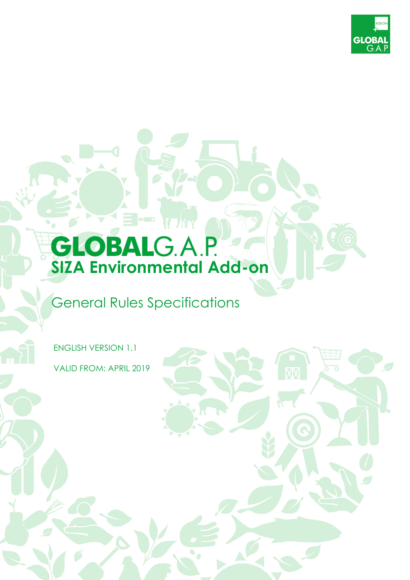

# **GLOBAL**G.A.P.

 $\blacksquare$ 

# General Rules Specifications

ENGLISH VERSION 1.1 VALID FROM: APRIL 2019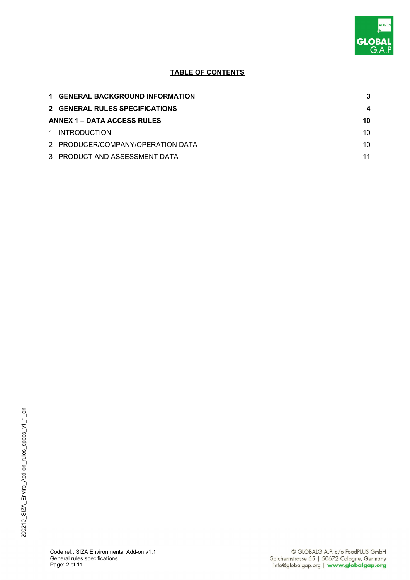

# **TABLE OF CONTENTS**

| <b>1 GENERAL BACKGROUND INFORMATION</b> | 3  |
|-----------------------------------------|----|
| 2 GENERAL RULES SPECIFICATIONS          |    |
| <b>ANNEX 1 – DATA ACCESS RULES</b>      | 10 |
| 1 INTRODUCTION                          | 10 |
| 2 PRODUCER/COMPANY/OPERATION DATA       | 10 |
| 3 PRODUCT AND ASSESSMENT DATA           | 11 |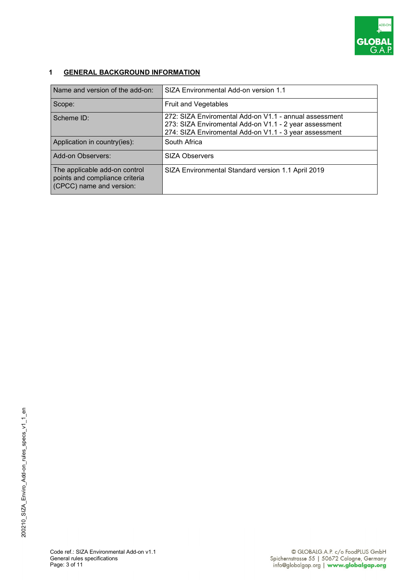

## **1 GENERAL BACKGROUND INFORMATION**

| Name and version of the add-on:                                                             | SIZA Environmental Add-on version 1.1                                                                                                                                      |
|---------------------------------------------------------------------------------------------|----------------------------------------------------------------------------------------------------------------------------------------------------------------------------|
| Scope:                                                                                      | <b>Fruit and Vegetables</b>                                                                                                                                                |
| Scheme ID:                                                                                  | 272: SIZA Enviromental Add-on V1.1 - annual assessment<br>273: SIZA Enviromental Add-on V1.1 - 2 year assessment<br>274: SIZA Enviromental Add-on V1.1 - 3 year assessment |
| Application in country(ies):                                                                | South Africa                                                                                                                                                               |
| Add-on Observers:                                                                           | <b>SIZA Observers</b>                                                                                                                                                      |
| The applicable add-on control<br>points and compliance criteria<br>(CPCC) name and version: | SIZA Environmental Standard version 1.1 April 2019                                                                                                                         |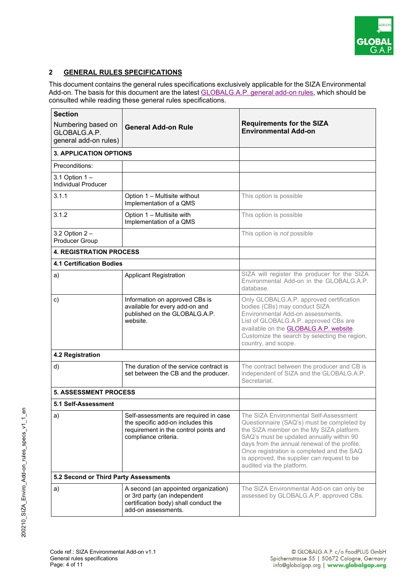

### **2 GENERAL RULES SPECIFICATIONS**

This document contains the general rules specifications exclusively applicable for the SIZA Environmental Add-on. The basis for this document are the latest **GLOBALG.A.P.** general add-on rules, which should be consulted while reading these general rules specifications.

| <b>Section</b>                                              |                                                                                                                                             |                                                                                                                                                                                                                                                                                                                                                        |  |
|-------------------------------------------------------------|---------------------------------------------------------------------------------------------------------------------------------------------|--------------------------------------------------------------------------------------------------------------------------------------------------------------------------------------------------------------------------------------------------------------------------------------------------------------------------------------------------------|--|
| Numbering based on<br>GLOBALG.A.P.<br>general add-on rules) | <b>General Add-on Rule</b>                                                                                                                  | <b>Requirements for the SIZA</b><br><b>Environmental Add-on</b>                                                                                                                                                                                                                                                                                        |  |
| <b>3. APPLICATION OPTIONS</b>                               |                                                                                                                                             |                                                                                                                                                                                                                                                                                                                                                        |  |
| Preconditions:                                              |                                                                                                                                             |                                                                                                                                                                                                                                                                                                                                                        |  |
| 3.1 Option 1 -<br><b>Individual Producer</b>                |                                                                                                                                             |                                                                                                                                                                                                                                                                                                                                                        |  |
| 3.1.1                                                       | Option 1 - Multisite without<br>Implementation of a QMS                                                                                     | This option is possible                                                                                                                                                                                                                                                                                                                                |  |
| 3.1.2                                                       | Option 1 - Multisite with<br>Implementation of a QMS                                                                                        | This option is possible                                                                                                                                                                                                                                                                                                                                |  |
| 3.2 Option $2 -$<br>Producer Group                          |                                                                                                                                             | This option is not possible                                                                                                                                                                                                                                                                                                                            |  |
| <b>4. REGISTRATION PROCESS</b>                              |                                                                                                                                             |                                                                                                                                                                                                                                                                                                                                                        |  |
| <b>4.1 Certification Bodies</b>                             |                                                                                                                                             |                                                                                                                                                                                                                                                                                                                                                        |  |
| a)                                                          | <b>Applicant Registration</b>                                                                                                               | SIZA will register the producer for the SIZA<br>Environmental Add-on in the GLOBALG.A.P.<br>database.                                                                                                                                                                                                                                                  |  |
| c)                                                          | Information on approved CBs is<br>available for every add-on and<br>published on the GLOBALG.A.P.<br>website.                               | Only GLOBALG.A.P. approved certification<br>bodies (CBs) may conduct SIZA<br>Environmental Add-on assessments.<br>List of GLOBALG.A.P. approved CBs are<br>available on the <b>GLOBALG.A.P. website.</b><br>Customize the search by selecting the region,<br>country, and scope.                                                                       |  |
| 4.2 Registration                                            |                                                                                                                                             |                                                                                                                                                                                                                                                                                                                                                        |  |
| d)                                                          | The duration of the service contract is<br>set between the CB and the producer.                                                             | The contract between the producer and CB is<br>independent of SIZA and the GLOBALG.A.P.<br>Secretariat.                                                                                                                                                                                                                                                |  |
| <b>5. ASSESSMENT PROCESS</b>                                |                                                                                                                                             |                                                                                                                                                                                                                                                                                                                                                        |  |
| 5.1 Self-Assessment                                         |                                                                                                                                             |                                                                                                                                                                                                                                                                                                                                                        |  |
| a)                                                          | Self-assessments are required in case<br>the specific add-on includes this<br>requirement in the control points and<br>compliance criteria. | The SIZA Environmental Self-Assessment<br>Questionnaire (SAQ's) must be completed by<br>the SIZA member on the My SIZA platform.<br>SAQ's must be updated annually within 90<br>days from the annual renewal of the profile.<br>Once registration is completed and the SAQ<br>is approved, the supplier can request to be<br>audited via the platform. |  |
| 5.2 Second or Third Party Assessments                       |                                                                                                                                             |                                                                                                                                                                                                                                                                                                                                                        |  |
| a)                                                          | A second (an appointed organization)<br>or 3rd party (an independent<br>certification body) shall conduct the<br>add-on assessments.        | The SIZA Environmental Add-on can only be<br>assessed by GLOBALG.A.P. approved CBs.                                                                                                                                                                                                                                                                    |  |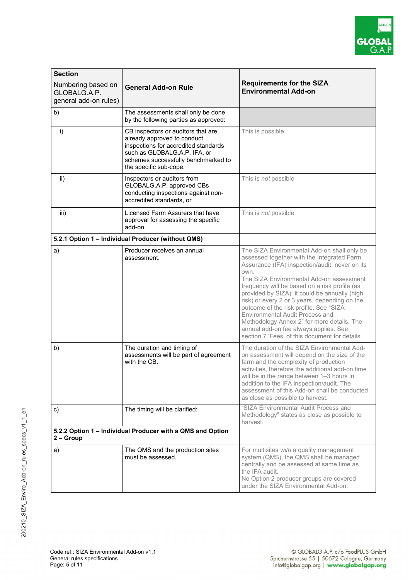

| <b>Section</b>                                                          |                                                                                                                                                                                                            |                                                                                                                                                                                                                                                                                                                                                                                                                                                                                                                                                                          |
|-------------------------------------------------------------------------|------------------------------------------------------------------------------------------------------------------------------------------------------------------------------------------------------------|--------------------------------------------------------------------------------------------------------------------------------------------------------------------------------------------------------------------------------------------------------------------------------------------------------------------------------------------------------------------------------------------------------------------------------------------------------------------------------------------------------------------------------------------------------------------------|
| Numbering based on<br>GLOBALG.A.P.<br>general add-on rules)             | <b>General Add-on Rule</b>                                                                                                                                                                                 | <b>Requirements for the SIZA</b><br><b>Environmental Add-on</b>                                                                                                                                                                                                                                                                                                                                                                                                                                                                                                          |
| b)                                                                      | The assessments shall only be done<br>by the following parties as approved:                                                                                                                                |                                                                                                                                                                                                                                                                                                                                                                                                                                                                                                                                                                          |
| $\mathsf{i}$                                                            | CB inspectors or auditors that are<br>already approved to conduct<br>inspections for accredited standards<br>such as GLOBALG.A.P. IFA, or<br>schemes successfully benchmarked to<br>the specific sub-cope. | This is possible                                                                                                                                                                                                                                                                                                                                                                                                                                                                                                                                                         |
| ii)                                                                     | Inspectors or auditors from<br>GLOBALG.A.P. approved CBs<br>conducting inspections against non-<br>accredited standards, or                                                                                | This is not possible                                                                                                                                                                                                                                                                                                                                                                                                                                                                                                                                                     |
| iii)                                                                    | Licensed Farm Assurers that have<br>approval for assessing the specific<br>add-on.                                                                                                                         | This is not possible                                                                                                                                                                                                                                                                                                                                                                                                                                                                                                                                                     |
|                                                                         | 5.2.1 Option 1 - Individual Producer (without QMS)                                                                                                                                                         |                                                                                                                                                                                                                                                                                                                                                                                                                                                                                                                                                                          |
| a)                                                                      | Producer receives an annual<br>assessment.                                                                                                                                                                 | The SIZA Environmental Add-on shall only be<br>assessed together with the Integrated Farm<br>Assurance (IFA) inspection/audit, never on its<br>own.<br>The SIZA Environmental Add-on assessment<br>frequency will be based on a risk profile (as<br>provided by SIZA): it could be annually (high<br>risk) or every 2 or 3 years, depending on the<br>outcome of the risk profile. See "SIZA<br>Environmental Audit Process and<br>Methodology Annex 2" for more details. The<br>annual add-on fee always applies. See<br>section 7 'Fees' of this document for details. |
| b)                                                                      | The duration and timing of<br>assessments will be part of agreement<br>with the CB.                                                                                                                        | The duration of the SIZA Environmental Add-<br>on assessment will depend on the size of the<br>farm and the complexity of production<br>activities, therefore the additional add-on time<br>will be in the range between 1-3 hours in<br>addition to the IFA inspection/audit. The<br>assessment of this Add-on shall be conducted<br>as close as possible to harvest.                                                                                                                                                                                                   |
| c)                                                                      | The timing will be clarified:                                                                                                                                                                              | "SIZA Environmental Audit Process and<br>Methodology" states as close as possible to<br>harvest.                                                                                                                                                                                                                                                                                                                                                                                                                                                                         |
| 5.2.2 Option 1 - Individual Producer with a QMS and Option<br>2 – Group |                                                                                                                                                                                                            |                                                                                                                                                                                                                                                                                                                                                                                                                                                                                                                                                                          |
| a)                                                                      | The QMS and the production sites<br>must be assessed.                                                                                                                                                      | For multisites with a quality management<br>system (QMS), the QMS shall be managed<br>centrally and be assessed at same time as<br>the IFA audit.<br>No Option 2 producer groups are covered<br>under the SIZA Environmental Add-on.                                                                                                                                                                                                                                                                                                                                     |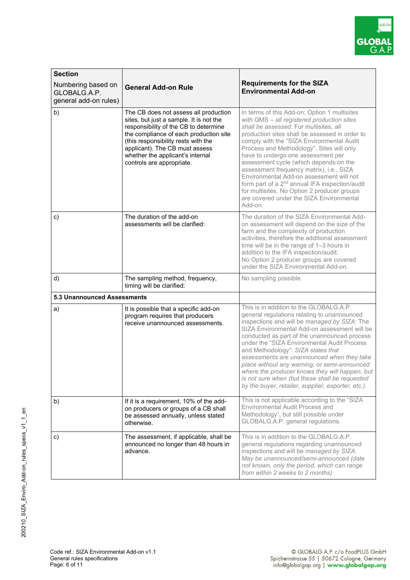

| <b>Section</b>                                              |                                                                                                                                                                                                                                                                                                               |                                                                                                                                                                                                                                                                                                                                                                                                                                                                                                                                                                                                                              |  |
|-------------------------------------------------------------|---------------------------------------------------------------------------------------------------------------------------------------------------------------------------------------------------------------------------------------------------------------------------------------------------------------|------------------------------------------------------------------------------------------------------------------------------------------------------------------------------------------------------------------------------------------------------------------------------------------------------------------------------------------------------------------------------------------------------------------------------------------------------------------------------------------------------------------------------------------------------------------------------------------------------------------------------|--|
| Numbering based on<br>GLOBALG.A.P.<br>general add-on rules) | <b>General Add-on Rule</b>                                                                                                                                                                                                                                                                                    | <b>Requirements for the SIZA</b><br><b>Environmental Add-on</b>                                                                                                                                                                                                                                                                                                                                                                                                                                                                                                                                                              |  |
| b)                                                          | The CB does not assess all production<br>sites, but just a sample. It is not the<br>responsibility of the CB to determine<br>the compliance of each production site<br>(this responsibility rests with the<br>applicant). The CB must assess<br>whether the applicant's internal<br>controls are appropriate. | In terms of this Add-on: Option 1 multisites<br>with QMS - all registered production sites<br>shall be assessed. For multisites, all<br>production sites shall be assessed in order to<br>comply with the "SIZA Environmental Audit<br>Process and Methodology". Sites will only<br>have to undergo one assessment per<br>assessment cycle (which depends on the<br>assessment frequency matrix), i.e., SIZA<br>Environmental Add-on assessment will not<br>form part of a 2 <sup>nd</sup> annual IFA inspection/audit<br>for multisites. No Option 2 producer groups<br>are covered under the SIZA Environmental<br>Add-on. |  |
| c)                                                          | The duration of the add-on<br>assessments will be clarified:                                                                                                                                                                                                                                                  | The duration of the SIZA Environmental Add-<br>on assessment will depend on the size of the<br>farm and the complexity of production<br>activities, therefore the additional assessment<br>time will be in the range of 1-3 hours in<br>addition to the IFA inspection/audit.<br>No Option 2 producer groups are covered<br>under the SIZA Environmental Add-on.                                                                                                                                                                                                                                                             |  |
| d)                                                          | The sampling method, frequency,<br>timing will be clarified:                                                                                                                                                                                                                                                  | No sampling possible.                                                                                                                                                                                                                                                                                                                                                                                                                                                                                                                                                                                                        |  |
| <b>5.3 Unannounced Assessments</b>                          |                                                                                                                                                                                                                                                                                                               |                                                                                                                                                                                                                                                                                                                                                                                                                                                                                                                                                                                                                              |  |
| a)                                                          | It is possible that a specific add-on<br>program requires that producers<br>receive unannounced assessments.                                                                                                                                                                                                  | This is in addition to the GLOBALG.A.P.<br>general regulations relating to unannounced<br>inspections and will be managed by SIZA: The<br>SIZA Environmental Add-on assessment will be<br>conducted as part of the unannounced process<br>under the "SIZA Environmental Audit Process<br>and Methodology": SIZA states that<br>assessments are unannounced when they take<br>place without any warning, or semi-announced<br>where the producer knows they will happen, but<br>is not sure when (but these shall be requested<br>by the buyer, retailer, supplier, exporter, etc.).                                          |  |
| b)                                                          | If it is a requirement, 10% of the add-<br>on producers or groups of a CB shall<br>be assessed annually, unless stated<br>otherwise.                                                                                                                                                                          | This is not applicable according to the "SIZA<br>Environmental Audit Process and<br>Methodology", but still possible under<br>GLOBALG.A.P. general regulations.                                                                                                                                                                                                                                                                                                                                                                                                                                                              |  |
| c)                                                          | The assessment, if applicable, shall be<br>announced no longer than 48 hours in<br>advance.                                                                                                                                                                                                                   | This is in addition to the GLOBALG.A.P.<br>general regulations regarding unannounced<br>inspections and will be managed by SIZA:<br>May be unannounced/semi-announced (date<br>not known, only the period, which can range<br>from within 2 weeks to 2 months)                                                                                                                                                                                                                                                                                                                                                               |  |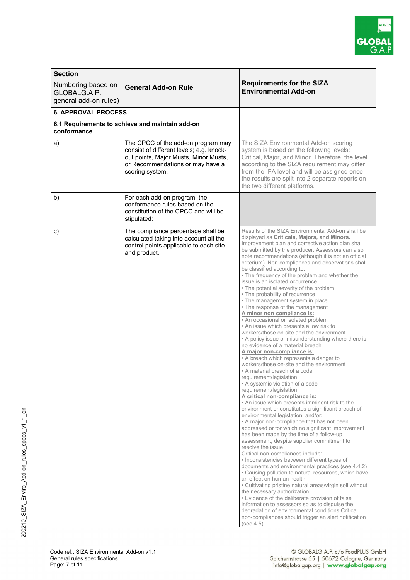

| <b>Section</b>                     |                                                                                                                                                                                |                                                                                                                                                                                                                                                                                                                                                                                                                                                                                                                                                                                                                                                                                                                                                                                                                                                                                                                                                                                                                                                                                                                                                                                                                                                                                                                                                                                                                                                                                                                                                                                                                                                                                                                                                                                                                                                                                                                                                                                                                                                                        |
|------------------------------------|--------------------------------------------------------------------------------------------------------------------------------------------------------------------------------|------------------------------------------------------------------------------------------------------------------------------------------------------------------------------------------------------------------------------------------------------------------------------------------------------------------------------------------------------------------------------------------------------------------------------------------------------------------------------------------------------------------------------------------------------------------------------------------------------------------------------------------------------------------------------------------------------------------------------------------------------------------------------------------------------------------------------------------------------------------------------------------------------------------------------------------------------------------------------------------------------------------------------------------------------------------------------------------------------------------------------------------------------------------------------------------------------------------------------------------------------------------------------------------------------------------------------------------------------------------------------------------------------------------------------------------------------------------------------------------------------------------------------------------------------------------------------------------------------------------------------------------------------------------------------------------------------------------------------------------------------------------------------------------------------------------------------------------------------------------------------------------------------------------------------------------------------------------------------------------------------------------------------------------------------------------------|
|                                    |                                                                                                                                                                                | <b>Requirements for the SIZA</b>                                                                                                                                                                                                                                                                                                                                                                                                                                                                                                                                                                                                                                                                                                                                                                                                                                                                                                                                                                                                                                                                                                                                                                                                                                                                                                                                                                                                                                                                                                                                                                                                                                                                                                                                                                                                                                                                                                                                                                                                                                       |
| Numbering based on<br>GLOBALG.A.P. | <b>General Add-on Rule</b>                                                                                                                                                     | <b>Environmental Add-on</b>                                                                                                                                                                                                                                                                                                                                                                                                                                                                                                                                                                                                                                                                                                                                                                                                                                                                                                                                                                                                                                                                                                                                                                                                                                                                                                                                                                                                                                                                                                                                                                                                                                                                                                                                                                                                                                                                                                                                                                                                                                            |
| general add-on rules)              |                                                                                                                                                                                |                                                                                                                                                                                                                                                                                                                                                                                                                                                                                                                                                                                                                                                                                                                                                                                                                                                                                                                                                                                                                                                                                                                                                                                                                                                                                                                                                                                                                                                                                                                                                                                                                                                                                                                                                                                                                                                                                                                                                                                                                                                                        |
| <b>6. APPROVAL PROCESS</b>         |                                                                                                                                                                                |                                                                                                                                                                                                                                                                                                                                                                                                                                                                                                                                                                                                                                                                                                                                                                                                                                                                                                                                                                                                                                                                                                                                                                                                                                                                                                                                                                                                                                                                                                                                                                                                                                                                                                                                                                                                                                                                                                                                                                                                                                                                        |
|                                    |                                                                                                                                                                                |                                                                                                                                                                                                                                                                                                                                                                                                                                                                                                                                                                                                                                                                                                                                                                                                                                                                                                                                                                                                                                                                                                                                                                                                                                                                                                                                                                                                                                                                                                                                                                                                                                                                                                                                                                                                                                                                                                                                                                                                                                                                        |
| conformance                        | 6.1 Requirements to achieve and maintain add-on                                                                                                                                |                                                                                                                                                                                                                                                                                                                                                                                                                                                                                                                                                                                                                                                                                                                                                                                                                                                                                                                                                                                                                                                                                                                                                                                                                                                                                                                                                                                                                                                                                                                                                                                                                                                                                                                                                                                                                                                                                                                                                                                                                                                                        |
| a)                                 | The CPCC of the add-on program may<br>consist of different levels; e.g. knock-<br>out points, Major Musts, Minor Musts,<br>or Recommendations or may have a<br>scoring system. | The SIZA Environmental Add-on scoring<br>system is based on the following levels:<br>Critical, Major, and Minor. Therefore, the level<br>according to the SIZA requirement may differ<br>from the IFA level and will be assigned once<br>the results are split into 2 separate reports on<br>the two different platforms.                                                                                                                                                                                                                                                                                                                                                                                                                                                                                                                                                                                                                                                                                                                                                                                                                                                                                                                                                                                                                                                                                                                                                                                                                                                                                                                                                                                                                                                                                                                                                                                                                                                                                                                                              |
| b)                                 | For each add-on program, the<br>conformance rules based on the<br>constitution of the CPCC and will be<br>stipulated:                                                          |                                                                                                                                                                                                                                                                                                                                                                                                                                                                                                                                                                                                                                                                                                                                                                                                                                                                                                                                                                                                                                                                                                                                                                                                                                                                                                                                                                                                                                                                                                                                                                                                                                                                                                                                                                                                                                                                                                                                                                                                                                                                        |
| $\mathbf{c})$                      | The compliance percentage shall be<br>calculated taking into account all the<br>control points applicable to each site<br>and product.                                         | Results of the SIZA Environmental Add-on shall be<br>displayed as Criticals, Majors, and Minors.<br>Improvement plan and corrective action plan shall<br>be submitted by the producer. Assessors can also<br>note recommendations (although it is not an official<br>criterium). Non-compliances and observations shall<br>be classified according to:<br>• The frequency of the problem and whether the<br>issue is an isolated occurrence<br>• The potential severity of the problem<br>• The probability of recurrence<br>• The management system in place.<br>• The response of the management<br>A minor non-compliance is:<br>• An occasional or isolated problem<br>• An issue which presents a low risk to<br>workers/those on-site and the environment<br>• A policy issue or misunderstanding where there is<br>no evidence of a material breach<br>A major non-compliance is:<br>• A breach which represents a danger to<br>workers/those on-site and the environment<br>• A material breach of a code<br>requirement/legislation<br>• A systemic violation of a code<br>requirement/legislation<br>A critical non-compliance is:<br>• An issue which presents imminent risk to the<br>environment or constitutes a significant breach of<br>environmental legislation, and/or;<br>• A major non-compliance that has not been<br>addressed or for which no significant improvement<br>has been made by the time of a follow-up<br>assessment, despite supplier commitment to<br>resolve the issue<br>Critical non-compliances include:<br>• Inconsistencies between different types of<br>documents and environmental practices (see 4.4.2)<br>• Causing pollution to natural resources, which have<br>an effect on human health<br>• Cultivating pristine natural areas/virgin soil without<br>the necessary authorization<br>• Evidence of the deliberate provision of false<br>information to assessors so as to disguise the<br>degradation of environmental conditions. Critical<br>non-compliances should trigger an alert notification<br>(see 4.5). |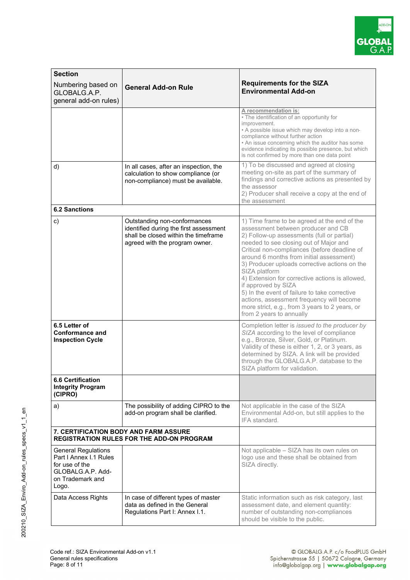

| <b>Section</b>                                                                                                           |                                                                                                                                                  |                                                                                                                                                                                                                                                                                                                                                                                                                                                                                                                                                                                                |  |
|--------------------------------------------------------------------------------------------------------------------------|--------------------------------------------------------------------------------------------------------------------------------------------------|------------------------------------------------------------------------------------------------------------------------------------------------------------------------------------------------------------------------------------------------------------------------------------------------------------------------------------------------------------------------------------------------------------------------------------------------------------------------------------------------------------------------------------------------------------------------------------------------|--|
| Numbering based on<br>GLOBALG.A.P.<br>general add-on rules)                                                              | <b>General Add-on Rule</b>                                                                                                                       | <b>Requirements for the SIZA</b><br><b>Environmental Add-on</b>                                                                                                                                                                                                                                                                                                                                                                                                                                                                                                                                |  |
|                                                                                                                          |                                                                                                                                                  | A recommendation is:<br>• The identification of an opportunity for<br>improvement.<br>• A possible issue which may develop into a non-<br>compliance without further action<br>• An issue concerning which the auditor has some<br>evidence indicating its possible presence, but which<br>is not confirmed by more than one data point                                                                                                                                                                                                                                                        |  |
| d)                                                                                                                       | In all cases, after an inspection, the<br>calculation to show compliance (or<br>non-compliance) must be available.                               | 1) To be discussed and agreed at closing<br>meeting on-site as part of the summary of<br>findings and corrective actions as presented by<br>the assessor<br>2) Producer shall receive a copy at the end of<br>the assessment                                                                                                                                                                                                                                                                                                                                                                   |  |
| <b>6.2 Sanctions</b>                                                                                                     |                                                                                                                                                  |                                                                                                                                                                                                                                                                                                                                                                                                                                                                                                                                                                                                |  |
| $\mathbf{c})$                                                                                                            | Outstanding non-conformances<br>identified during the first assessment<br>shall be closed within the timeframe<br>agreed with the program owner. | 1) Time frame to be agreed at the end of the<br>assessment between producer and CB<br>2) Follow-up assessments (full or partial)<br>needed to see closing out of Major and<br>Critical non-compliances (before deadline of<br>around 6 months from initial assessment)<br>3) Producer uploads corrective actions on the<br>SIZA platform<br>4) Extension for corrective actions is allowed,<br>if approved by SIZA<br>5) In the event of failure to take corrective<br>actions, assessment frequency will become<br>more strict, e.g., from 3 years to 2 years, or<br>from 2 years to annually |  |
| 6.5 Letter of<br><b>Conformance and</b><br><b>Inspection Cycle</b>                                                       |                                                                                                                                                  | Completion letter is issued to the producer by<br>SIZA according to the level of compliance<br>e.g., Bronze, Silver, Gold, or Platinum.<br>Validity of these is either 1, 2, or 3 years, as<br>determined by SIZA. A link will be provided<br>through the GLOBALG.A.P. database to the<br>SIZA platform for validation.                                                                                                                                                                                                                                                                        |  |
| <b>6.6 Certification</b><br><b>Integrity Program</b><br>(CIPRO)                                                          |                                                                                                                                                  |                                                                                                                                                                                                                                                                                                                                                                                                                                                                                                                                                                                                |  |
| a)                                                                                                                       | The possibility of adding CIPRO to the<br>add-on program shall be clarified.                                                                     | Not applicable in the case of the SIZA<br>Environmental Add-on, but still applies to the<br>IFA standard.                                                                                                                                                                                                                                                                                                                                                                                                                                                                                      |  |
| <b>7. CERTIFICATION BODY AND FARM ASSURE</b><br><b>REGISTRATION RULES FOR THE ADD-ON PROGRAM</b>                         |                                                                                                                                                  |                                                                                                                                                                                                                                                                                                                                                                                                                                                                                                                                                                                                |  |
| <b>General Regulations</b><br>Part I Annex I.1 Rules<br>for use of the<br>GLOBALG.A.P. Add-<br>on Trademark and<br>Logo. |                                                                                                                                                  | Not applicable - SIZA has its own rules on<br>logo use and these shall be obtained from<br>SIZA directly.                                                                                                                                                                                                                                                                                                                                                                                                                                                                                      |  |
| Data Access Rights                                                                                                       | In case of different types of master<br>data as defined in the General<br>Regulations Part I: Annex I.1.                                         | Static information such as risk category, last<br>assessment date, and element quantity:<br>number of outstanding non-compliances<br>should be visible to the public.                                                                                                                                                                                                                                                                                                                                                                                                                          |  |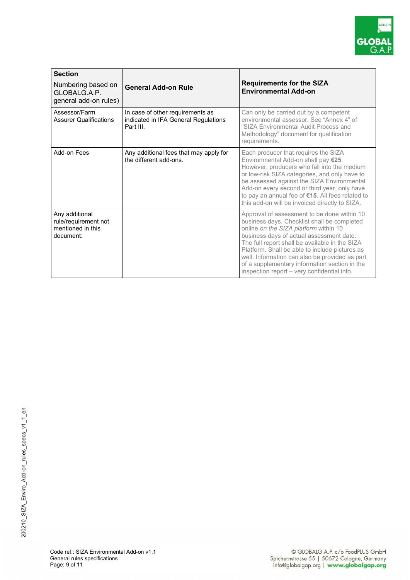

| <b>Section</b><br>Numbering based on<br>GLOBALG A.P.<br>general add-on rules) | <b>General Add-on Rule</b>                                                            | <b>Requirements for the SIZA</b><br><b>Environmental Add-on</b>                                                                                                                                                                                                                                                                                                                                                                       |
|-------------------------------------------------------------------------------|---------------------------------------------------------------------------------------|---------------------------------------------------------------------------------------------------------------------------------------------------------------------------------------------------------------------------------------------------------------------------------------------------------------------------------------------------------------------------------------------------------------------------------------|
| Assessor/Farm<br><b>Assurer Qualifications</b>                                | In case of other requirements as<br>indicated in IFA General Regulations<br>Part III. | Can only be carried out by a competent<br>environmental assessor. See "Annex 4" of<br>"SIZA Environmental Audit Process and<br>Methodology" document for qualification<br>requirements.                                                                                                                                                                                                                                               |
| Add-on Fees                                                                   | Any additional fees that may apply for<br>the different add-ons.                      | Each producer that requires the SIZA<br>Environmental Add-on shall pay €25.<br>However, producers who fall into the medium<br>or low-risk SIZA categories, and only have to<br>be assessed against the SIZA Environmental<br>Add-on every second or third year, only have<br>to pay an annual fee of €15. All fees related to<br>this add-on will be invoiced directly to SIZA.                                                       |
| Any additional<br>rule/requirement not<br>mentioned in this<br>document:      |                                                                                       | Approval of assessment to be done within 10<br>business days. Checklist shall be completed<br>online on the SIZA platform within 10<br>business days of actual assessment date.<br>The full report shall be available in the SIZA<br>Platform. Shall be able to include pictures as<br>well. Information can also be provided as part<br>of a supplementary information section in the<br>inspection report - very confidential info. |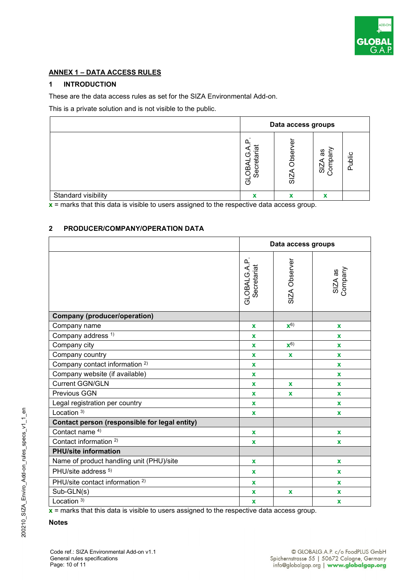

#### **ANNEX 1 – DATA ACCESS RULES**

#### **1 INTRODUCTION**

These are the data access rules as set for the SIZA Environmental Add-on.

This is a private solution and is not visible to the public.

|                     | Data access groups                                            |                                     |                           |        |
|---------------------|---------------------------------------------------------------|-------------------------------------|---------------------------|--------|
|                     | $\overline{\overline{a}}$<br>O<br>ētā<br><b>GLOBA</b><br>Secr | ō<br>Obser<br>$\overline{\text{S}}$ | ξu<br>æ<br>SIZA<br>Compa  | Public |
| Standard visibility |                                                               | X                                   | $\boldsymbol{\mathsf{A}}$ |        |

**x** = marks that this data is visible to users assigned to the respective data access group.

#### **2 PRODUCER/COMPANY/OPERATION DATA**

|                                               | Data access groups              |                    |                    |
|-----------------------------------------------|---------------------------------|--------------------|--------------------|
|                                               | نه<br>GLOBALG.A.<br>Secretariat | SIZA Observer      | SIZA as<br>Company |
| <b>Company (producer/operation)</b>           |                                 |                    |                    |
| Company name                                  | $\mathbf{x}$                    | $\mathbf{x}^{6}$   | $\mathbf x$        |
| Company address <sup>1)</sup>                 | $\mathbf{x}$                    |                    | $\mathbf x$        |
| Company city                                  | $\mathbf x$                     | $\mathbf{X}^{(6)}$ | X                  |
| Company country                               | $\mathbf{x}$                    | X                  | $\mathbf{x}$       |
| Company contact information <sup>2)</sup>     | $\mathbf{x}$                    |                    | $\mathbf x$        |
| Company website (if available)                | $\mathbf x$                     |                    | $\mathbf{x}$       |
| <b>Current GGN/GLN</b>                        | $\mathbf{x}$                    | $\mathbf{x}$       | $\mathbf x$        |
| <b>Previous GGN</b>                           | $\mathbf x$                     | X                  | $\mathbf{x}$       |
| Legal registration per country                | $\mathbf x$                     |                    | $\mathbf{x}$       |
| Location $3)$                                 | $\mathbf{x}$                    |                    | $\mathbf{x}$       |
| Contact person (responsible for legal entity) |                                 |                    |                    |
| Contact name <sup>4)</sup>                    | $\mathbf{x}$                    |                    | $\mathbf{x}$       |
| Contact information <sup>2)</sup>             | $\mathbf{x}$                    |                    | $\mathbf{x}$       |
| <b>PHU/site information</b>                   |                                 |                    |                    |
| Name of product handling unit (PHU)/site      | $\mathbf{x}$                    |                    | $\mathbf{x}$       |
| PHU/site address <sup>5)</sup>                | x                               |                    | $\mathbf x$        |
| PHU/site contact information <sup>2)</sup>    | $\mathbf{x}$                    |                    | $\mathbf{x}$       |
| Sub-GLN(s)                                    | $\mathbf x$                     | $\mathbf x$        | $\mathbf x$        |
| Location $3)$                                 | $\mathbf x$                     |                    | $\mathbf x$        |

**x** = marks that this data is visible to users assigned to the respective data access group.

#### **Notes**